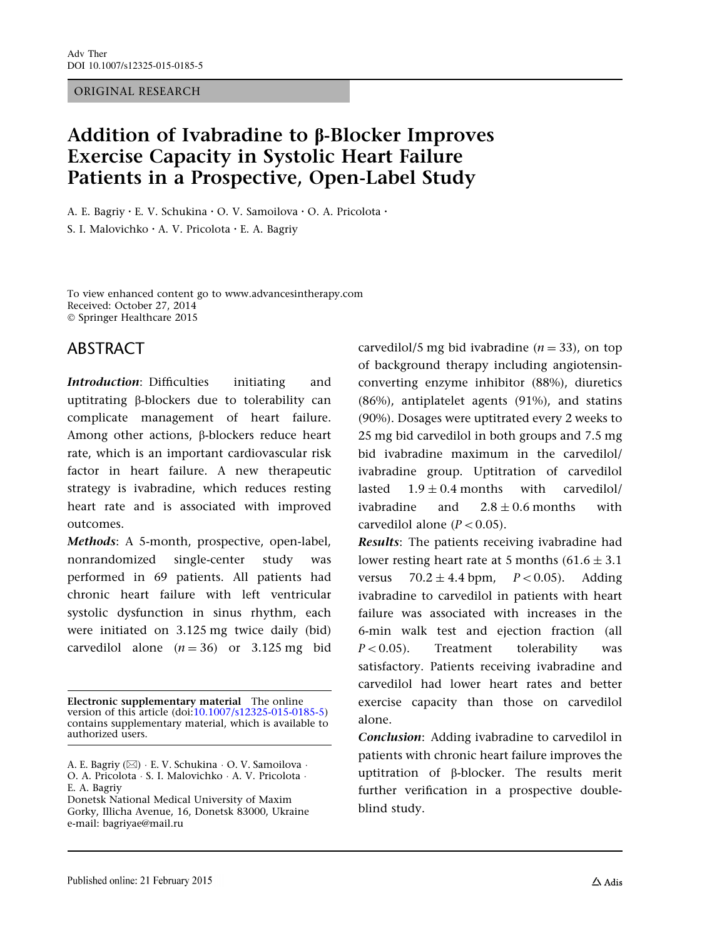#### ORIGINAL RESEARCH

# Addition of Ivabradine to **B-Blocker Improves** Exercise Capacity in Systolic Heart Failure Patients in a Prospective, Open-Label Study

A. E. Bagriy • E. V. Schukina • O. V. Samoilova • O. A. Pricolota •

S. I. Malovichko • A. V. Pricolota • E. A. Bagriy

To view enhanced content go to www.advancesintherapy.com Received: October 27, 2014  $©$  Springer Healthcare 2015

## ABSTRACT

Introduction: Difficulties initiating and uptitrating b-blockers due to tolerability can complicate management of heart failure. Among other actions, B-blockers reduce heart rate, which is an important cardiovascular risk factor in heart failure. A new therapeutic strategy is ivabradine, which reduces resting heart rate and is associated with improved outcomes.

Methods: A 5-month, prospective, open-label, nonrandomized single-center study was performed in 69 patients. All patients had chronic heart failure with left ventricular systolic dysfunction in sinus rhythm, each were initiated on 3.125 mg twice daily (bid) carvedilol alone  $(n = 36)$  or 3.125 mg bid

Electronic supplementary material The online version of this article (doi:[10.1007/s12325-015-0185-5\)](http://dx.doi.org/10.1007/s12325-015-0185-5) contains supplementary material, which is available to authorized users.

Donetsk National Medical University of Maxim Gorky, Illicha Avenue, 16, Donetsk 83000, Ukraine e-mail: bagriyae@mail.ru

carvedilol/5 mg bid ivabradine ( $n = 33$ ), on top of background therapy including angiotensinconverting enzyme inhibitor (88%), diuretics (86%), antiplatelet agents (91%), and statins (90%). Dosages were uptitrated every 2 weeks to 25 mg bid carvedilol in both groups and 7.5 mg bid ivabradine maximum in the carvedilol/ ivabradine group. Uptitration of carvedilol lasted  $1.9 \pm 0.4$  months with carvedilol/ ivabradine and  $2.8 + 0.6$  months with carvedilol alone ( $P < 0.05$ ).

Results: The patients receiving ivabradine had lower resting heart rate at 5 months  $(61.6 \pm 3.1)$ versus  $70.2 \pm 4.4$  bpm,  $P < 0.05$ ). Adding ivabradine to carvedilol in patients with heart failure was associated with increases in the 6-min walk test and ejection fraction (all  $P<0.05$ ). Treatment tolerability was satisfactory. Patients receiving ivabradine and carvedilol had lower heart rates and better exercise capacity than those on carvedilol alone.

Conclusion: Adding ivabradine to carvedilol in patients with chronic heart failure improves the uptitration of β-blocker. The results merit further verification in a prospective doubleblind study.

A. E. Bagriy ( $\boxtimes$ )  $\cdot$  E. V. Schukina  $\cdot$  O. V. Samoilova  $\cdot$ O. A. Pricolota · S. I. Malovichko · A. V. Pricolota · E. A. Bagriy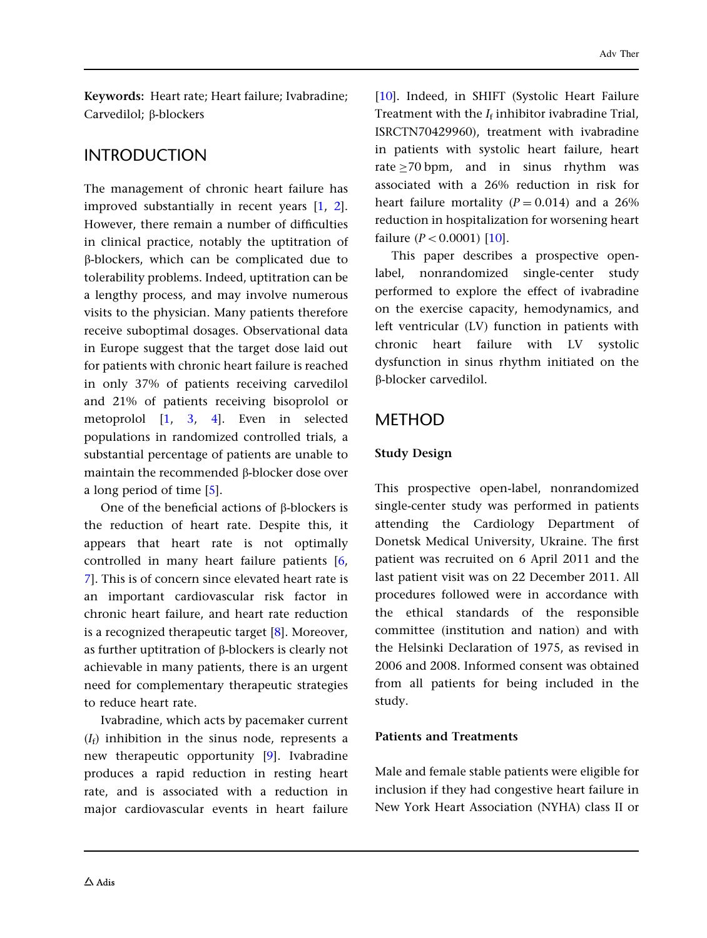Keywords: Heart rate; Heart failure; Ivabradine; Carvedilol; **ß-blockers** 

## INTRODUCTION

The management of chronic heart failure has improved substantially in recent years [\[1](#page-10-0), [2](#page-10-0)]. However, there remain a number of difficulties in clinical practice, notably the uptitration of b-blockers, which can be complicated due to tolerability problems. Indeed, uptitration can be a lengthy process, and may involve numerous visits to the physician. Many patients therefore receive suboptimal dosages. Observational data in Europe suggest that the target dose laid out for patients with chronic heart failure is reached in only 37% of patients receiving carvedilol and 21% of patients receiving bisoprolol or metoprolol [[1](#page-10-0), [3,](#page-10-0) [4\]](#page-10-0). Even in selected populations in randomized controlled trials, a substantial percentage of patients are unable to maintain the recommended  $\beta$ -blocker dose over a long period of time [[5\]](#page-10-0).

One of the beneficial actions of  $\beta$ -blockers is the reduction of heart rate. Despite this, it appears that heart rate is not optimally controlled in many heart failure patients [[6](#page-10-0), [7\]](#page-10-0). This is of concern since elevated heart rate is an important cardiovascular risk factor in chronic heart failure, and heart rate reduction is a recognized therapeutic target [\[8\]](#page-10-0). Moreover, as further uptitration of  $\beta$ -blockers is clearly not achievable in many patients, there is an urgent need for complementary therapeutic strategies to reduce heart rate.

Ivabradine, which acts by pacemaker current  $(I_f)$  inhibition in the sinus node, represents a new therapeutic opportunity [[9](#page-10-0)]. Ivabradine produces a rapid reduction in resting heart rate, and is associated with a reduction in major cardiovascular events in heart failure

[\[10\]](#page-10-0). Indeed, in SHIFT (Systolic Heart Failure Treatment with the  $I_f$  inhibitor ivabradine Trial, ISRCTN70429960), treatment with ivabradine in patients with systolic heart failure, heart rate  $>$  70 bpm, and in sinus rhythm was associated with a 26% reduction in risk for heart failure mortality  $(P = 0.014)$  and a 26% reduction in hospitalization for worsening heart failure  $(P < 0.0001)$  [[10](#page-10-0)].

This paper describes a prospective openlabel, nonrandomized single-center study performed to explore the effect of ivabradine on the exercise capacity, hemodynamics, and left ventricular (LV) function in patients with chronic heart failure with LV systolic dysfunction in sinus rhythm initiated on the b-blocker carvedilol.

## **METHOD**

### Study Design

This prospective open-label, nonrandomized single-center study was performed in patients attending the Cardiology Department of Donetsk Medical University, Ukraine. The first patient was recruited on 6 April 2011 and the last patient visit was on 22 December 2011. All procedures followed were in accordance with the ethical standards of the responsible committee (institution and nation) and with the Helsinki Declaration of 1975, as revised in 2006 and 2008. Informed consent was obtained from all patients for being included in the study.

#### Patients and Treatments

Male and female stable patients were eligible for inclusion if they had congestive heart failure in New York Heart Association (NYHA) class II or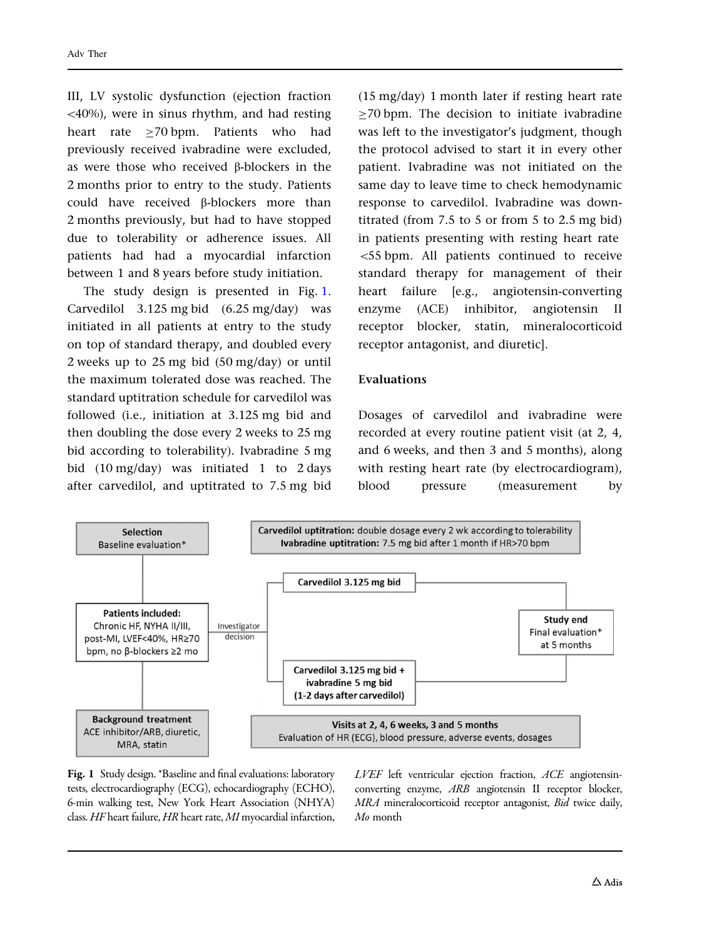III, LV systolic dysfunction (ejection fraction \40%), were in sinus rhythm, and had resting heart rate >70 bpm. Patients who had previously received ivabradine were excluded, as were those who received  $\beta$ -blockers in the 2 months prior to entry to the study. Patients could have received b-blockers more than 2 months previously, but had to have stopped due to tolerability or adherence issues. All patients had had a myocardial infarction between 1 and 8 years before study initiation.

The study design is presented in Fig. 1. Carvedilol 3.125 mg bid (6.25 mg/day) was initiated in all patients at entry to the study on top of standard therapy, and doubled every 2 weeks up to 25 mg bid (50 mg/day) or until the maximum tolerated dose was reached. The standard uptitration schedule for carvedilol was followed (i.e., initiation at 3.125 mg bid and then doubling the dose every 2 weeks to 25 mg bid according to tolerability). Ivabradine 5 mg bid (10 mg/day) was initiated 1 to 2 days after carvedilol, and uptitrated to 7.5 mg bid

(15 mg/day) 1 month later if resting heart rate  $>70$  bpm. The decision to initiate ivabradine was left to the investigator's judgment, though the protocol advised to start it in every other patient. Ivabradine was not initiated on the same day to leave time to check hemodynamic response to carvedilol. Ivabradine was downtitrated (from 7.5 to 5 or from 5 to 2.5 mg bid) in patients presenting with resting heart rate \55 bpm. All patients continued to receive standard therapy for management of their heart failure [e.g., angiotensin-converting enzyme (ACE) inhibitor, angiotensin II receptor blocker, statin, mineralocorticoid receptor antagonist, and diuretic].

#### Evaluations

Dosages of carvedilol and ivabradine were recorded at every routine patient visit (at 2, 4, and 6 weeks, and then 3 and 5 months), along with resting heart rate (by electrocardiogram), blood pressure (measurement by



Fig. 1 Study design. \*Baseline and final evaluations: laboratory tests, electrocardiography (ECG), echocardiography (ECHO), 6-min walking test, New York Heart Association (NHYA) class. HF heart failure, HR heart rate, MI myocardial infarction, LVEF left ventricular ejection fraction, ACE angiotensinconverting enzyme, ARB angiotensin II receptor blocker, MRA mineralocorticoid receptor antagonist, Bid twice daily, Mo month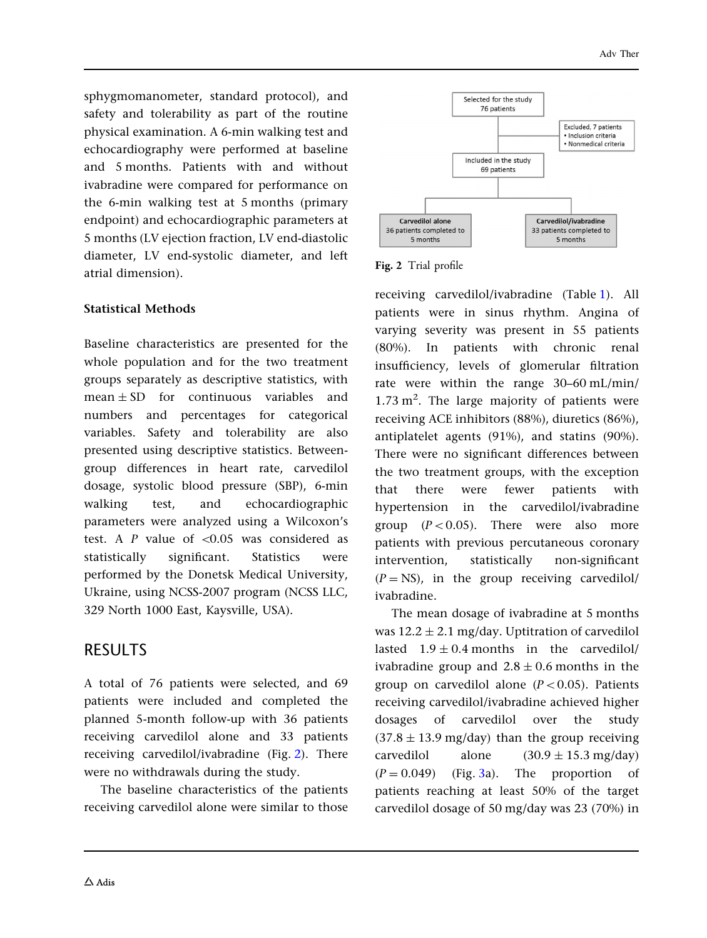sphygmomanometer, standard protocol), and safety and tolerability as part of the routine physical examination. A 6-min walking test and echocardiography were performed at baseline and 5 months. Patients with and without ivabradine were compared for performance on the 6-min walking test at 5 months (primary endpoint) and echocardiographic parameters at 5 months (LV ejection fraction, LV end-diastolic diameter, LV end-systolic diameter, and left atrial dimension).

### Statistical Methods

Baseline characteristics are presented for the whole population and for the two treatment groups separately as descriptive statistics, with  $mean + SD$  for continuous variables and numbers and percentages for categorical variables. Safety and tolerability are also presented using descriptive statistics. Betweengroup differences in heart rate, carvedilol dosage, systolic blood pressure (SBP), 6-min walking test, and echocardiographic parameters were analyzed using a Wilcoxon's test. A  $P$  value of  $\leq 0.05$  was considered as statistically significant. Statistics were performed by the Donetsk Medical University, Ukraine, using NCSS-2007 program (NCSS LLC, 329 North 1000 East, Kaysville, USA).

## RESULTS

A total of 76 patients were selected, and 69 patients were included and completed the planned 5-month follow-up with 36 patients receiving carvedilol alone and 33 patients receiving carvedilol/ivabradine (Fig. 2). There were no withdrawals during the study.

The baseline characteristics of the patients receiving carvedilol alone were similar to those



Fig. 2 Trial profile

receiving carvedilol/ivabradine (Table [1\)](#page-4-0). All patients were in sinus rhythm. Angina of varying severity was present in 55 patients (80%). In patients with chronic renal insufficiency, levels of glomerular filtration rate were within the range 30–60 mL/min/ 1.73  $m^2$ . The large majority of patients were receiving ACE inhibitors (88%), diuretics (86%), antiplatelet agents (91%), and statins (90%). There were no significant differences between the two treatment groups, with the exception that there were fewer patients with hypertension in the carvedilol/ivabradine group  $(P<0.05)$ . There were also more patients with previous percutaneous coronary intervention, statistically non-significant  $(P = NS)$ , in the group receiving carvedilol/ ivabradine.

The mean dosage of ivabradine at 5 months was  $12.2 \pm 2.1$  mg/day. Uptitration of carvedilol lasted  $1.9 \pm 0.4$  months in the carvedilol/ ivabradine group and  $2.8 \pm 0.6$  months in the group on carvedilol alone  $(P<0.05)$ . Patients receiving carvedilol/ivabradine achieved higher dosages of carvedilol over the study  $(37.8 \pm 13.9 \text{ mg/day})$  than the group receiving carvedilol alone  $(30.9 \pm 15.3 \text{ mg/day})$  $(P = 0.049)$  (Fig. [3](#page-5-0)a). The proportion of patients reaching at least 50% of the target carvedilol dosage of 50 mg/day was 23 (70%) in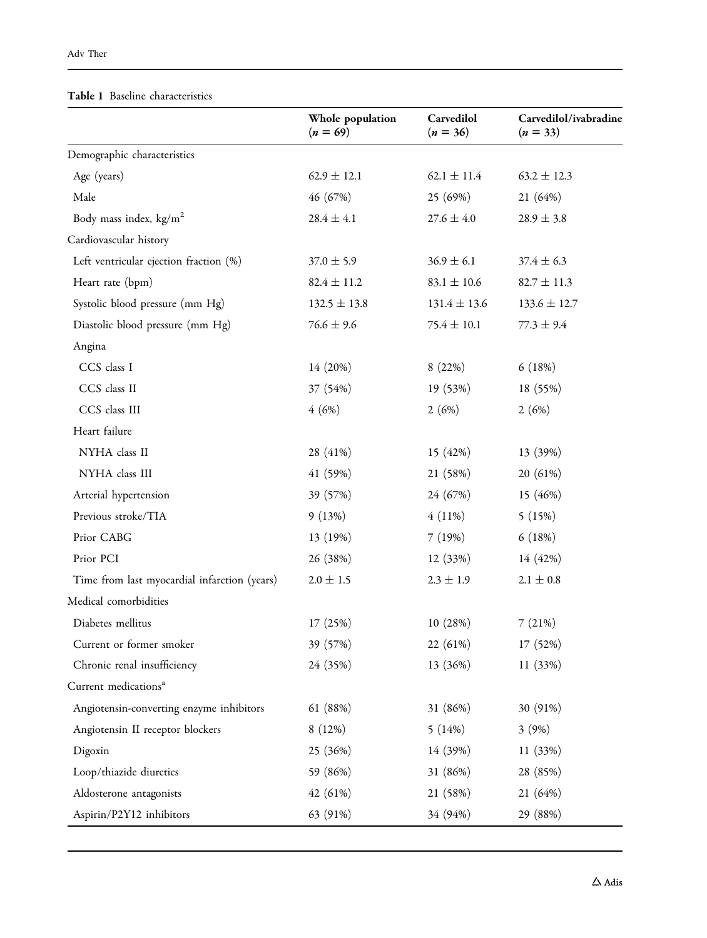#### <span id="page-4-0"></span>Table 1 Baseline characteristics

|                                              | Whole population<br>$(n = 69)$ | Carvedilol<br>$(n = 36)$ | Carvedilol/ivabradine<br>$(n = 33)$ |
|----------------------------------------------|--------------------------------|--------------------------|-------------------------------------|
| Demographic characteristics                  |                                |                          |                                     |
| Age (years)                                  | $62.9 \pm 12.1$                | $62.1 \pm 11.4$          | $63.2 \pm 12.3$                     |
| Male                                         | 46 (67%)                       | 25 (69%)                 | 21 (64%)                            |
| Body mass index, $\text{kg/m}^2$             | $28.4 \pm 4.1$                 | $27.6 \pm 4.0$           | $28.9 \pm 3.8$                      |
| Cardiovascular history                       |                                |                          |                                     |
| Left ventricular ejection fraction (%)       | $37.0 \pm 5.9$                 | $36.9 \pm 6.1$           |                                     |
| Heart rate (bpm)                             | $82.4 \pm 11.2$                | $83.1 \pm 10.6$          | $82.7 \pm 11.3$                     |
| Systolic blood pressure (mm Hg)              | $132.5 \pm 13.8$               | $131.4 \pm 13.6$         | $133.6 \pm 12.7$                    |
| Diastolic blood pressure (mm Hg)             | $76.6 \pm 9.6$                 | $75.4 \pm 10.1$          | $77.3 \pm 9.4$                      |
| Angina                                       |                                |                          |                                     |
| CCS class I                                  | 14 (20%)                       | 8(22%)                   | 6(18%)                              |
| CCS class II                                 | 37 (54%)                       | 19 (53%)                 | 18 (55%)                            |
| CCS class III                                | 4(6%)                          | 2(6%)                    | 2(6%)                               |
| Heart failure                                |                                |                          |                                     |
| NYHA class II                                | 28 (41%)                       | 15 (42%)                 | 13 (39%)                            |
| NYHA class III                               | 41 (59%)                       | 21 (58%)                 | 20 (61%)                            |
| Arterial hypertension                        | 39 (57%)                       | 24 (67%)                 | 15 (46%)                            |
| Previous stroke/TIA                          | 9(13%)                         | $4(11\%)$                | 5(15%)                              |
| Prior CABG                                   | 13 (19%)                       | 7(19%)                   | 6(18%)                              |
| Prior PCI                                    | 26 (38%)                       | 12 (33%)                 | 14 (42%)                            |
| Time from last myocardial infarction (years) | $2.0 \pm 1.5$                  | $2.3 \pm 1.9$            | $2.1 \pm 0.8$                       |
| Medical comorbidities                        |                                |                          |                                     |
| Diabetes mellitus                            | 17(25%)                        | 10 (28%)                 | 7(21%)                              |
| Current or former smoker                     | 39 (57%)                       | 22 (61%)                 | 17 (52%)                            |
| Chronic renal insufficiency                  | 24 (35%)                       | 13 (36%)                 | 11(33%)                             |
| Current medications <sup>a</sup>             |                                |                          |                                     |
| Angiotensin-converting enzyme inhibitors     | 61 (88%)                       | 31 (86%)                 | 30 (91%)                            |
| Angiotensin II receptor blockers             | 8(12%)                         | 5(14%)                   | 3(9%)                               |
| Digoxin                                      | 25 (36%)                       | 14 (39%)                 | 11(33%)                             |
| Loop/thiazide diuretics                      | 59 (86%)                       | 31 (86%)                 | 28 (85%)                            |
| Aldosterone antagonists                      | 42 (61%)                       | 21 (58%)                 | 21(64%)                             |
| Aspirin/P2Y12 inhibitors                     | 63 (91%)                       | 34 (94%)                 | 29 (88%)                            |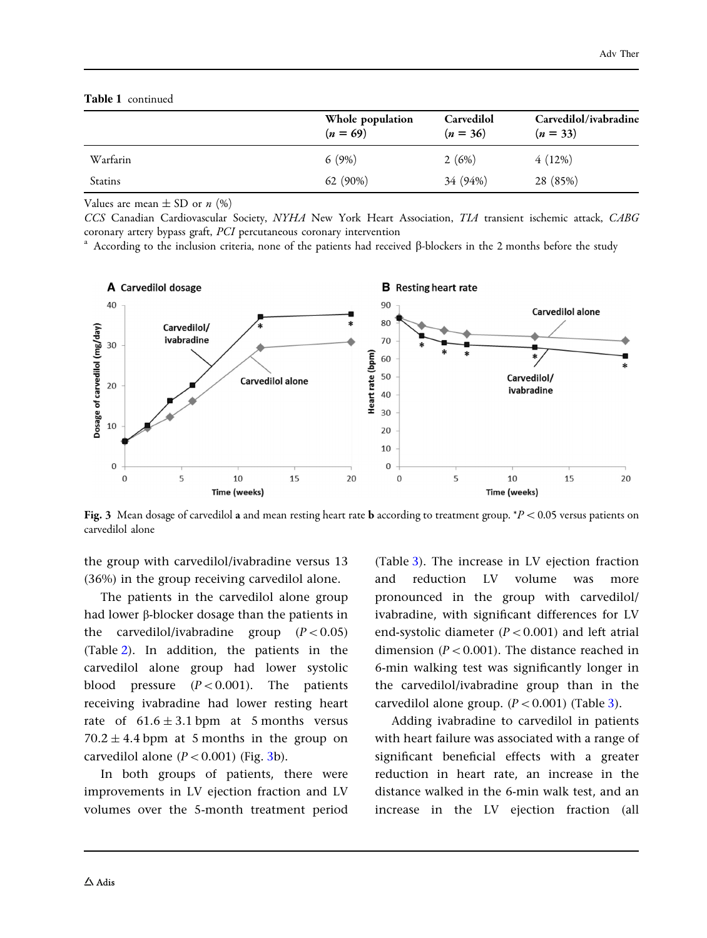<span id="page-5-0"></span>

|  | <b>Table 1</b> continued |
|--|--------------------------|
|--|--------------------------|

|          | Whole population<br>$(n = 69)$ | Carvedilol<br>$(n = 36)$ | Carvedilol/ivabradine<br>$(n = 33)$ |
|----------|--------------------------------|--------------------------|-------------------------------------|
| Warfarin | 6(9%)                          | 2(6%)                    | 4(12%)                              |
| Statins  | $62(90\%)$                     | 34 (94%)                 | 28 (85%)                            |

Values are mean  $\pm$  SD or *n* (%)

CCS Canadian Cardiovascular Society, NYHA New York Heart Association, TIA transient ischemic attack, CABG coronary artery bypass graft, PCI percutaneous coronary intervention

<sup>a</sup> According to the inclusion criteria, none of the patients had received  $\beta$ -blockers in the 2 months before the study



Fig. 3 Mean dosage of carvedilol a and mean resting heart rate **b** according to treatment group. \* $P < 0.05$  versus patients on carvedilol alone

the group with carvedilol/ivabradine versus 13 (36%) in the group receiving carvedilol alone.

The patients in the carvedilol alone group had lower  $\beta$ -blocker dosage than the patients in the carvedilol/ivabradine group  $(P<0.05)$ (Table [2\)](#page-6-0). In addition, the patients in the carvedilol alone group had lower systolic blood pressure  $(P<0.001)$ . The patients receiving ivabradine had lower resting heart rate of  $61.6 \pm 3.1$  bpm at 5 months versus  $70.2 \pm 4.4$  bpm at 5 months in the group on carvedilol alone  $(P<0.001)$  (Fig. 3b).

In both groups of patients, there were improvements in LV ejection fraction and LV volumes over the 5-month treatment period (Table [3\)](#page-6-0). The increase in LV ejection fraction and reduction LV volume was more pronounced in the group with carvedilol/ ivabradine, with significant differences for LV end-systolic diameter  $(P<0.001)$  and left atrial dimension ( $P < 0.001$ ). The distance reached in 6-min walking test was significantly longer in the carvedilol/ivabradine group than in the carvedilol alone group.  $(P<0.001)$  (Table [3\)](#page-6-0).

Adding ivabradine to carvedilol in patients with heart failure was associated with a range of significant beneficial effects with a greater reduction in heart rate, an increase in the distance walked in the 6-min walk test, and an increase in the LV ejection fraction (all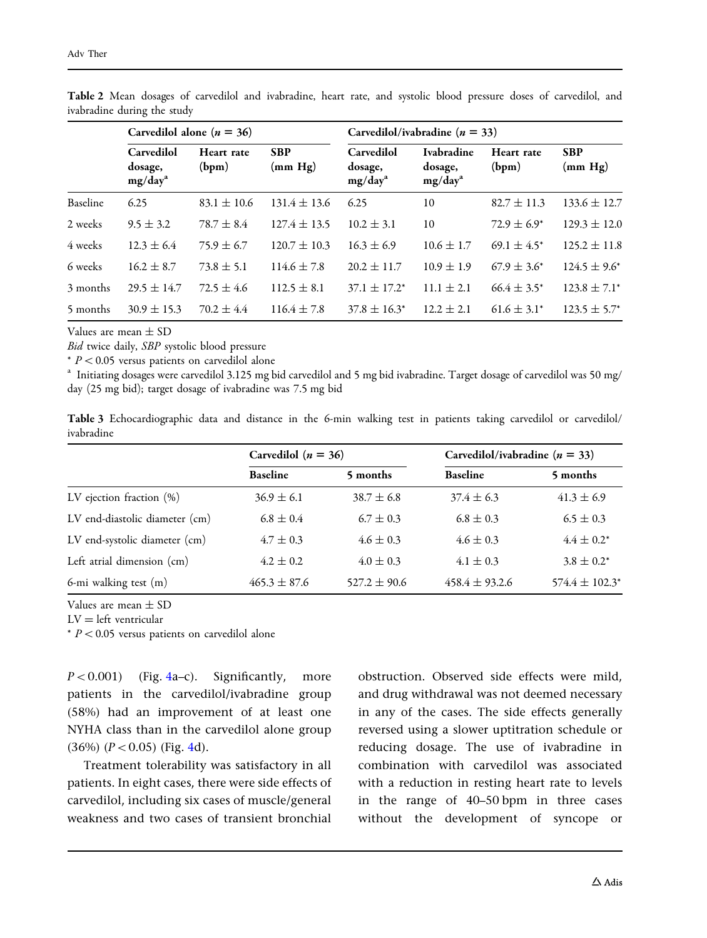|          | Carvedilol alone ( $n = 36$ )                |                     |                       | Carvedilol/ivabradine ( $n = 33$ )           |                                                     |                     |                       |
|----------|----------------------------------------------|---------------------|-----------------------|----------------------------------------------|-----------------------------------------------------|---------------------|-----------------------|
|          | Carvedilol<br>dosage,<br>mg/day <sup>a</sup> | Heart rate<br>(bpm) | <b>SBP</b><br>(mm Hg) | Carvedilol<br>dosage,<br>mg/day <sup>a</sup> | <b>Ivabradine</b><br>dosage,<br>mg/day <sup>a</sup> | Heart rate<br>(bpm) | <b>SBP</b><br>(mm Hg) |
| Baseline | 6.25                                         | $83.1 \pm 10.6$     | $131.4 \pm 13.6$      | 6.25                                         | 10                                                  | $82.7 \pm 11.3$     | $133.6 \pm 12.7$      |
| 2 weeks  | $9.5 \pm 3.2$                                | $78.7 \pm 8.4$      | $127.4 \pm 13.5$      | $10.2 \pm 3.1$                               | 10                                                  | $72.9 \pm 6.9^*$    | $129.3 \pm 12.0$      |
| 4 weeks  | $12.3 \pm 6.4$                               | $75.9 \pm 6.7$      | $120.7 \pm 10.3$      | $16.3 \pm 6.9$                               | $10.6 \pm 1.7$                                      | $69.1 \pm 4.5^*$    | $125.2 \pm 11.8$      |
| 6 weeks  | $16.2 \pm 8.7$                               | $73.8 \pm 5.1$      | $114.6 \pm 7.8$       | $20.2 \pm 11.7$                              | $10.9 \pm 1.9$                                      | $67.9 \pm 3.6^*$    | $124.5 \pm 9.6^*$     |
| 3 months | $29.5 \pm 14.7$                              | $72.5 \pm 4.6$      | $112.5 \pm 8.1$       | $37.1 \pm 17.2^*$                            | $11.1 \pm 2.1$                                      | $66.4 \pm 3.5^*$    | $123.8 \pm 7.1^*$     |
| 5 months | $30.9 \pm 15.3$                              | $70.2 \pm 4.4$      | $116.4 \pm 7.8$       | $37.8 \pm 16.3^*$                            | $12.2 \pm 2.1$                                      | $61.6 \pm 3.1^*$    | $123.5 \pm 5.7^*$     |

<span id="page-6-0"></span>Table 2 Mean dosages of carvedilol and ivabradine, heart rate, and systolic blood pressure doses of carvedilol, and ivabradine during the study

Values are mean  $\pm$  SD

Bid twice daily, SBP systolic blood pressure

 $* P < 0.05$  versus patients on carvedilol alone

<sup>a</sup> Initiating dosages were carvedilol 3.125 mg bid carvedilol and 5 mg bid ivabradine. Target dosage of carvedilol was 50 mg/ day (25 mg bid); target dosage of ivabradine was 7.5 mg bid

Table 3 Echocardiographic data and distance in the 6-min walking test in patients taking carvedilol or carvedilol/ ivabradine

|                                | Carvedilol ( $n = 36$ ) |                  | Carvedilol/ivabradine ( $n = 33$ ) |                     |  |
|--------------------------------|-------------------------|------------------|------------------------------------|---------------------|--|
|                                | <b>Baseline</b>         | 5 months         | <b>Baseline</b>                    | 5 months            |  |
| LV ejection fraction $(\%)$    | $36.9 \pm 6.1$          | $38.7 \pm 6.8$   | $37.4 \pm 6.3$                     | $41.3 \pm 6.9$      |  |
| LV end-diastolic diameter (cm) | $6.8 \pm 0.4$           | $6.7 \pm 0.3$    | $6.8 \pm 0.3$                      | $6.5 \pm 0.3$       |  |
| LV end-systolic diameter (cm)  | $4.7 \pm 0.3$           | $4.6 \pm 0.3$    | $4.6 \pm 0.3$                      | $4.4 \pm 0.2^*$     |  |
| Left atrial dimension (cm)     | $4.2 \pm 0.2$           | $4.0 \pm 0.3$    | $4.1 \pm 0.3$                      | $3.8 \pm 0.2^*$     |  |
| 6-mi walking test (m)          | $465.3 \pm 87.6$        | $527.2 \pm 90.6$ | $458.4 \pm 93.2.6$                 | $574.4 \pm 102.3^*$ |  |

Values are mean ± SD

 $LV = left$  ventricular

 $*$   $P$  < 0.05 versus patients on carvedilol alone

 $P < 0.001$ ) (Fig. [4](#page-7-0)a–c). Significantly, more patients in the carvedilol/ivabradine group (58%) had an improvement of at least one NYHA class than in the carvedilol alone group  $(36\%)$   $(P < 0.05)$  (Fig. [4d](#page-7-0)).

Treatment tolerability was satisfactory in all patients. In eight cases, there were side effects of carvedilol, including six cases of muscle/general weakness and two cases of transient bronchial

obstruction. Observed side effects were mild, and drug withdrawal was not deemed necessary in any of the cases. The side effects generally reversed using a slower uptitration schedule or reducing dosage. The use of ivabradine in combination with carvedilol was associated with a reduction in resting heart rate to levels in the range of 40–50 bpm in three cases without the development of syncope or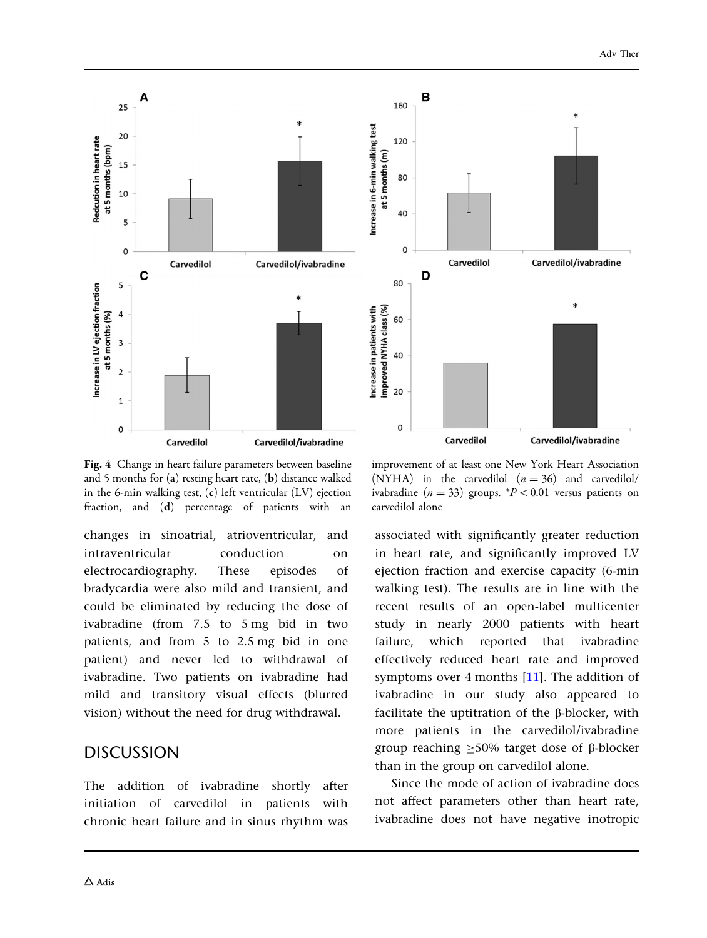<span id="page-7-0"></span>

Fig. 4 Change in heart failure parameters between baseline and 5 months for (a) resting heart rate, (b) distance walked in the 6-min walking test, (c) left ventricular (LV) ejection fraction, and (d) percentage of patients with an

changes in sinoatrial, atrioventricular, and intraventricular conduction on electrocardiography. These episodes of bradycardia were also mild and transient, and could be eliminated by reducing the dose of ivabradine (from 7.5 to 5 mg bid in two patients, and from 5 to 2.5 mg bid in one patient) and never led to withdrawal of ivabradine. Two patients on ivabradine had mild and transitory visual effects (blurred vision) without the need for drug withdrawal.

### **DISCUSSION**

The addition of ivabradine shortly after initiation of carvedilol in patients with chronic heart failure and in sinus rhythm was

improvement of at least one New York Heart Association (NYHA) in the carvedilol  $(n = 36)$  and carvedilol/ ivabradine ( $n = 33$ ) groups.  $P < 0.01$  versus patients on carvedilol alone

associated with significantly greater reduction in heart rate, and significantly improved LV ejection fraction and exercise capacity (6-min walking test). The results are in line with the recent results of an open-label multicenter study in nearly 2000 patients with heart failure, which reported that ivabradine effectively reduced heart rate and improved symptoms over 4 months [\[11\]](#page-10-0). The addition of ivabradine in our study also appeared to facilitate the uptitration of the b-blocker, with more patients in the carvedilol/ivabradine group reaching  $\geq 50\%$  target dose of  $\beta$ -blocker than in the group on carvedilol alone.

Since the mode of action of ivabradine does not affect parameters other than heart rate, ivabradine does not have negative inotropic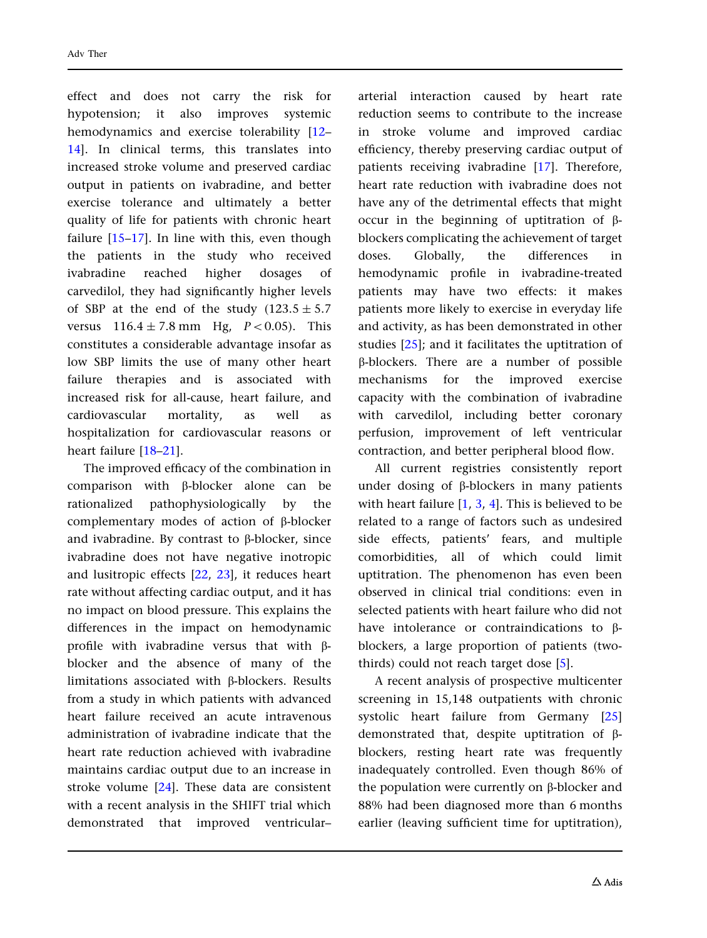effect and does not carry the risk for hypotension; it also improves systemic hemodynamics and exercise tolerability [[12](#page-10-0)– [14](#page-10-0)]. In clinical terms, this translates into increased stroke volume and preserved cardiac output in patients on ivabradine, and better exercise tolerance and ultimately a better quality of life for patients with chronic heart failure [[15–17\]](#page-10-0). In line with this, even though the patients in the study who received ivabradine reached higher dosages of carvedilol, they had significantly higher levels of SBP at the end of the study  $(123.5 \pm 5.7)$ versus  $116.4 \pm 7.8$  mm Hg,  $P < 0.05$ ). This constitutes a considerable advantage insofar as low SBP limits the use of many other heart failure therapies and is associated with increased risk for all-cause, heart failure, and cardiovascular mortality, as well as hospitalization for cardiovascular reasons or heart failure [[18](#page-10-0)[–21](#page-11-0)].

The improved efficacy of the combination in comparison with b-blocker alone can be rationalized pathophysiologically by the complementary modes of action of  $\beta$ -blocker and ivabradine. By contrast to  $\beta$ -blocker, since ivabradine does not have negative inotropic and lusitropic effects [\[22](#page-11-0), [23](#page-11-0)], it reduces heart rate without affecting cardiac output, and it has no impact on blood pressure. This explains the differences in the impact on hemodynamic profile with ivabradine versus that with  $\beta$ blocker and the absence of many of the limitations associated with b-blockers. Results from a study in which patients with advanced heart failure received an acute intravenous administration of ivabradine indicate that the heart rate reduction achieved with ivabradine maintains cardiac output due to an increase in stroke volume [\[24\]](#page-11-0). These data are consistent with a recent analysis in the SHIFT trial which demonstrated that improved ventricular– arterial interaction caused by heart rate reduction seems to contribute to the increase in stroke volume and improved cardiac efficiency, thereby preserving cardiac output of patients receiving ivabradine [[17](#page-10-0)]. Therefore, heart rate reduction with ivabradine does not have any of the detrimental effects that might occur in the beginning of uptitration of  $\beta$ blockers complicating the achievement of target doses. Globally, the differences in hemodynamic profile in ivabradine-treated patients may have two effects: it makes patients more likely to exercise in everyday life and activity, as has been demonstrated in other studies [[25](#page-11-0)]; and it facilitates the uptitration of b-blockers. There are a number of possible mechanisms for the improved exercise capacity with the combination of ivabradine with carvedilol, including better coronary perfusion, improvement of left ventricular contraction, and better peripheral blood flow.

All current registries consistently report under dosing of b-blockers in many patients with heart failure  $[1, 3, 4]$  $[1, 3, 4]$  $[1, 3, 4]$  $[1, 3, 4]$  $[1, 3, 4]$ . This is believed to be related to a range of factors such as undesired side effects, patients' fears, and multiple comorbidities, all of which could limit uptitration. The phenomenon has even been observed in clinical trial conditions: even in selected patients with heart failure who did not have intolerance or contraindications to βblockers, a large proportion of patients (twothirds) could not reach target dose [[5](#page-10-0)].

A recent analysis of prospective multicenter screening in 15,148 outpatients with chronic systolic heart failure from Germany [[25](#page-11-0)] demonstrated that, despite uptitration of bblockers, resting heart rate was frequently inadequately controlled. Even though 86% of the population were currently on  $\beta$ -blocker and 88% had been diagnosed more than 6 months earlier (leaving sufficient time for uptitration),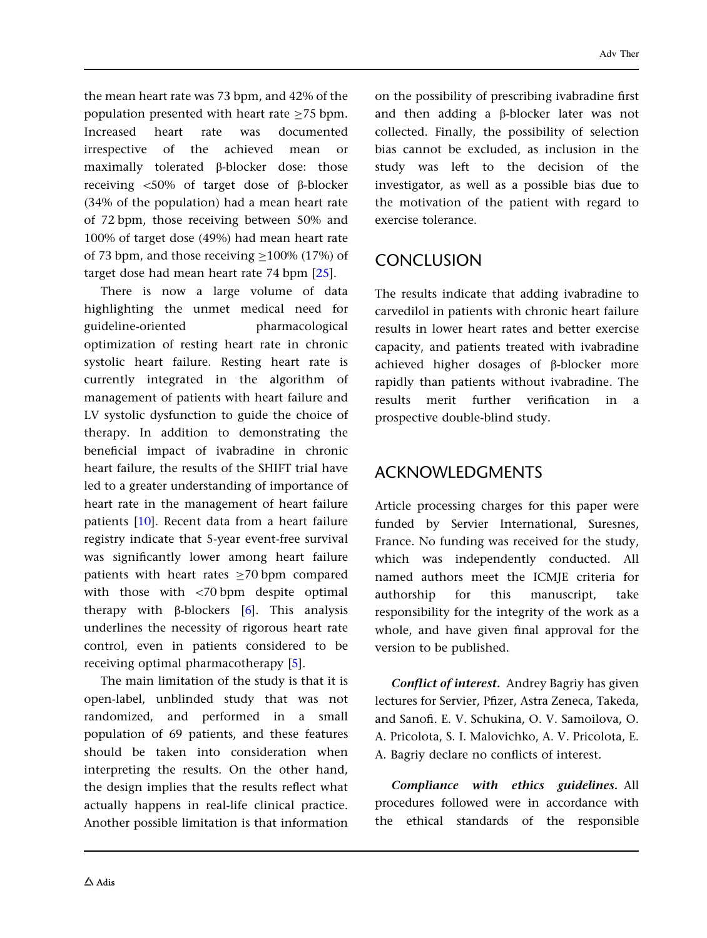the mean heart rate was 73 bpm, and 42% of the population presented with heart rate  $>75$  bpm. Increased heart rate was documented irrespective of the achieved mean or maximally tolerated  $\beta$ -blocker dose: those receiving  $\langle 50\% \rangle$  of target dose of  $\beta$ -blocker (34% of the population) had a mean heart rate of 72 bpm, those receiving between 50% and 100% of target dose (49%) had mean heart rate of 73 bpm, and those receiving  $>100\%$  (17%) of target dose had mean heart rate 74 bpm [\[25\]](#page-11-0).

There is now a large volume of data highlighting the unmet medical need for guideline-oriented pharmacological optimization of resting heart rate in chronic systolic heart failure. Resting heart rate is currently integrated in the algorithm of management of patients with heart failure and LV systolic dysfunction to guide the choice of therapy. In addition to demonstrating the beneficial impact of ivabradine in chronic heart failure, the results of the SHIFT trial have led to a greater understanding of importance of heart rate in the management of heart failure patients [[10](#page-10-0)]. Recent data from a heart failure registry indicate that 5-year event-free survival was significantly lower among heart failure patients with heart rates  $\geq$ 70 bpm compared with those with  $\langle 70$  bpm despite optimal therapy with  $\beta$ -blockers [\[6](#page-10-0)]. This analysis underlines the necessity of rigorous heart rate control, even in patients considered to be receiving optimal pharmacotherapy [[5](#page-10-0)].

The main limitation of the study is that it is open-label, unblinded study that was not randomized, and performed in a small population of 69 patients, and these features should be taken into consideration when interpreting the results. On the other hand, the design implies that the results reflect what actually happens in real-life clinical practice. Another possible limitation is that information on the possibility of prescribing ivabradine first and then adding a  $\beta$ -blocker later was not collected. Finally, the possibility of selection bias cannot be excluded, as inclusion in the study was left to the decision of the investigator, as well as a possible bias due to the motivation of the patient with regard to exercise tolerance.

# **CONCLUSION**

The results indicate that adding ivabradine to carvedilol in patients with chronic heart failure results in lower heart rates and better exercise capacity, and patients treated with ivabradine achieved higher dosages of  $\beta$ -blocker more rapidly than patients without ivabradine. The results merit further verification in a prospective double-blind study.

## ACKNOWLEDGMENTS

Article processing charges for this paper were funded by Servier International, Suresnes, France. No funding was received for the study, which was independently conducted. All named authors meet the ICMJE criteria for authorship for this manuscript, take responsibility for the integrity of the work as a whole, and have given final approval for the version to be published.

Conflict of interest. Andrey Bagriy has given lectures for Servier, Pfizer, Astra Zeneca, Takeda, and Sanofi. E. V. Schukina, O. V. Samoilova, O. A. Pricolota, S. I. Malovichko, A. V. Pricolota, E. A. Bagriy declare no conflicts of interest.

Compliance with ethics guidelines. All procedures followed were in accordance with the ethical standards of the responsible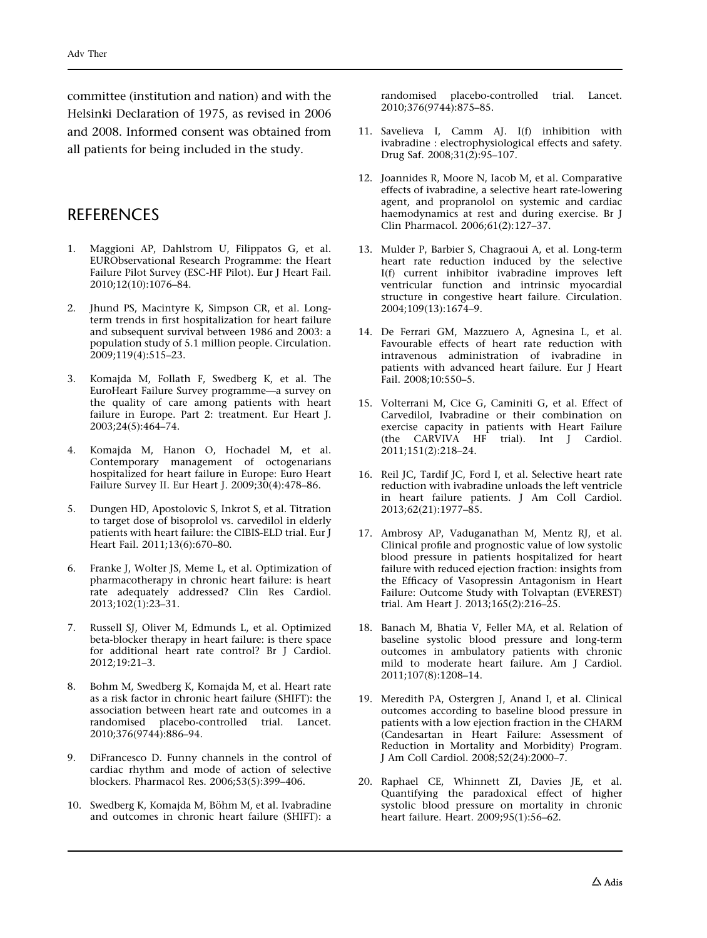<span id="page-10-0"></span>committee (institution and nation) and with the Helsinki Declaration of 1975, as revised in 2006 and 2008. Informed consent was obtained from all patients for being included in the study.

### **REFERENCES**

- 1. Maggioni AP, Dahlstrom U, Filippatos G, et al. EURObservational Research Programme: the Heart Failure Pilot Survey (ESC-HF Pilot). Eur J Heart Fail. 2010;12(10):1076–84.
- 2. Jhund PS, Macintyre K, Simpson CR, et al. Longterm trends in first hospitalization for heart failure and subsequent survival between 1986 and 2003: a population study of 5.1 million people. Circulation. 2009;119(4):515–23.
- 3. Komajda M, Follath F, Swedberg K, et al. The EuroHeart Failure Survey programme—a survey on the quality of care among patients with heart failure in Europe. Part 2: treatment. Eur Heart J. 2003;24(5):464–74.
- 4. Komajda M, Hanon O, Hochadel M, et al. Contemporary management of octogenarians hospitalized for heart failure in Europe: Euro Heart Failure Survey II. Eur Heart J. 2009;30(4):478–86.
- 5. Dungen HD, Apostolovic S, Inkrot S, et al. Titration to target dose of bisoprolol vs. carvedilol in elderly patients with heart failure: the CIBIS-ELD trial. Eur J Heart Fail. 2011;13(6):670–80.
- 6. Franke J, Wolter JS, Meme L, et al. Optimization of pharmacotherapy in chronic heart failure: is heart rate adequately addressed? Clin Res Cardiol. 2013;102(1):23–31.
- 7. Russell SJ, Oliver M, Edmunds L, et al. Optimized beta-blocker therapy in heart failure: is there space for additional heart rate control? Br J Cardiol. 2012;19:21–3.
- 8. Bohm M, Swedberg K, Komajda M, et al. Heart rate as a risk factor in chronic heart failure (SHIFT): the association between heart rate and outcomes in a randomised placebo-controlled trial. Lancet. 2010;376(9744):886–94.
- 9. DiFrancesco D. Funny channels in the control of cardiac rhythm and mode of action of selective blockers. Pharmacol Res. 2006;53(5):399–406.
- 10. Swedberg K, Komajda M, Böhm M, et al. Ivabradine and outcomes in chronic heart failure (SHIFT): a

randomised placebo-controlled trial. Lancet. 2010;376(9744):875–85.

- 11. Savelieva I, Camm AJ. I(f) inhibition with ivabradine : electrophysiological effects and safety. Drug Saf. 2008;31(2):95–107.
- 12. Joannides R, Moore N, Iacob M, et al. Comparative effects of ivabradine, a selective heart rate-lowering agent, and propranolol on systemic and cardiac haemodynamics at rest and during exercise. Br J Clin Pharmacol. 2006;61(2):127–37.
- 13. Mulder P, Barbier S, Chagraoui A, et al. Long-term heart rate reduction induced by the selective I(f) current inhibitor ivabradine improves left ventricular function and intrinsic myocardial structure in congestive heart failure. Circulation. 2004;109(13):1674–9.
- 14. De Ferrari GM, Mazzuero A, Agnesina L, et al. Favourable effects of heart rate reduction with intravenous administration of ivabradine in patients with advanced heart failure. Eur J Heart Fail. 2008;10:550–5.
- 15. Volterrani M, Cice G, Caminiti G, et al. Effect of Carvedilol, Ivabradine or their combination on exercise capacity in patients with Heart Failure (the CARVIVA HF trial). Int J Cardiol. 2011;151(2):218–24.
- 16. Reil JC, Tardif JC, Ford I, et al. Selective heart rate reduction with ivabradine unloads the left ventricle in heart failure patients. J Am Coll Cardiol. 2013;62(21):1977–85.
- 17. Ambrosy AP, Vaduganathan M, Mentz RJ, et al. Clinical profile and prognostic value of low systolic blood pressure in patients hospitalized for heart failure with reduced ejection fraction: insights from the Efficacy of Vasopressin Antagonism in Heart Failure: Outcome Study with Tolvaptan (EVEREST) trial. Am Heart J. 2013;165(2):216–25.
- 18. Banach M, Bhatia V, Feller MA, et al. Relation of baseline systolic blood pressure and long-term outcomes in ambulatory patients with chronic mild to moderate heart failure. Am J Cardiol. 2011;107(8):1208–14.
- 19. Meredith PA, Ostergren J, Anand I, et al. Clinical outcomes according to baseline blood pressure in patients with a low ejection fraction in the CHARM (Candesartan in Heart Failure: Assessment of Reduction in Mortality and Morbidity) Program. J Am Coll Cardiol. 2008;52(24):2000–7.
- 20. Raphael CE, Whinnett ZI, Davies JE, et al. Quantifying the paradoxical effect of higher systolic blood pressure on mortality in chronic heart failure. Heart. 2009;95(1):56–62.